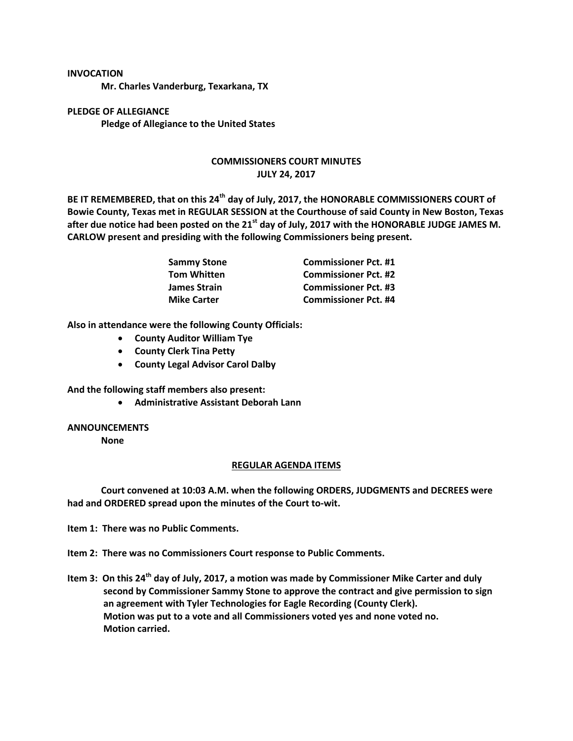## **INVOCATION**

**Mr. Charles Vanderburg, Texarkana, TX**

**PLEDGE OF ALLEGIANCE Pledge of Allegiance to the United States**

## **COMMISSIONERS COURT MINUTES JULY 24, 2017**

**BE IT REMEMBERED, that on this 24th day of July, 2017, the HONORABLE COMMISSIONERS COURT of Bowie County, Texas met in REGULAR SESSION at the Courthouse of said County in New Boston, Texas after due notice had been posted on the 21st day of July, 2017 with the HONORABLE JUDGE JAMES M. CARLOW present and presiding with the following Commissioners being present.**

| Sammy Stone<br>Tom Whitten | <b>Commissioner Pct. #1</b> |
|----------------------------|-----------------------------|
|                            | <b>Commissioner Pct. #2</b> |
| James Strain               | <b>Commissioner Pct. #3</b> |
| <b>Mike Carter</b>         | <b>Commissioner Pct. #4</b> |

**Also in attendance were the following County Officials:**

- **County Auditor William Tye**
- **County Clerk Tina Petty**
- **County Legal Advisor Carol Dalby**

**And the following staff members also present:**

**Administrative Assistant Deborah Lann**

## **ANNOUNCEMENTS**

**None**

## **REGULAR AGENDA ITEMS**

**Court convened at 10:03 A.M. when the following ORDERS, JUDGMENTS and DECREES were had and ORDERED spread upon the minutes of the Court to-wit.**

**Item 1: There was no Public Comments.**

- **Item 2: There was no Commissioners Court response to Public Comments.**
- **Item 3: On this 24th day of July, 2017, a motion was made by Commissioner Mike Carter and duly second by Commissioner Sammy Stone to approve the contract and give permission to sign an agreement with Tyler Technologies for Eagle Recording (County Clerk). Motion was put to a vote and all Commissioners voted yes and none voted no. Motion carried.**